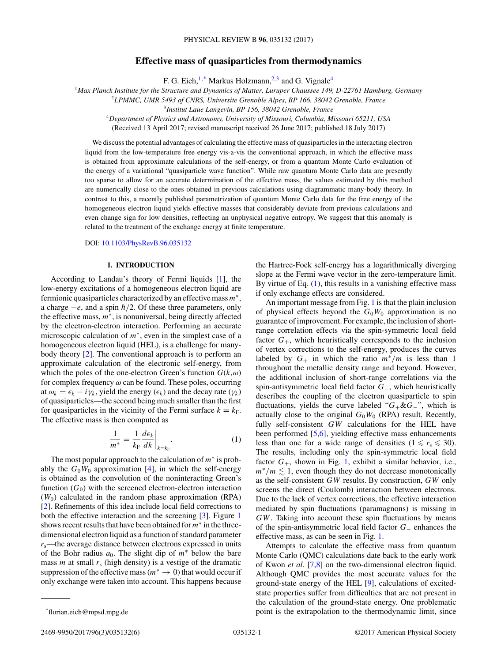## **Effective mass of quasiparticles from thermodynamics**

F. G. Eich,  $1$ <sup>\*</sup> Markus Holzmann,  $2$ <sup>3</sup> and G. Vignale<sup>4</sup>

<span id="page-0-0"></span><sup>1</sup>*Max Planck Institute for the Structure and Dynamics of Matter, Luruper Chaussee 149, D-22761 Hamburg, Germany*

<sup>2</sup>*LPMMC, UMR 5493 of CNRS, Universite Grenoble Alpes, BP 166, 38042 Grenoble, France*

<sup>3</sup>*Institut Laue Langevin, BP 156, 38042 Grenoble, France*

<sup>4</sup>*Department of Physics and Astronomy, University of Missouri, Columbia, Missouri 65211, USA*

(Received 13 April 2017; revised manuscript received 26 June 2017; published 18 July 2017)

We discuss the potential advantages of calculating the effective mass of quasiparticles in the interacting electron liquid from the low-temperature free energy vis-a-vis the conventional approach, in which the effective mass is obtained from approximate calculations of the self-energy, or from a quantum Monte Carlo evaluation of the energy of a variational "quasiparticle wave function". While raw quantum Monte Carlo data are presently too sparse to allow for an accurate determination of the effective mass, the values estimated by this method are numerically close to the ones obtained in previous calculations using diagrammatic many-body theory. In contrast to this, a recently published parametrization of quantum Monte Carlo data for the free energy of the homogeneous electron liquid yields effective masses that considerably deviate from previous calculations and even change sign for low densities, reflecting an unphysical negative entropy. We suggest that this anomaly is related to the treatment of the exchange energy at finite temperature.

DOI: [10.1103/PhysRevB.96.035132](https://doi.org/10.1103/PhysRevB.96.035132)

# **I. INTRODUCTION**

According to Landau's theory of Fermi liquids [\[1\]](#page-4-0), the low-energy excitations of a homogeneous electron liquid are fermionic quasiparticles characterized by an effective mass*m*∗, a charge  $−e$ , and a spin  $\hbar/2$ . Of these three parameters, only the effective mass, *m*∗, is nonuniversal, being directly affected by the electron-electron interaction. Performing an accurate microscopic calculation of *m*∗, even in the simplest case of a homogeneous electron liquid (HEL), is a challenge for manybody theory [\[2\]](#page-4-0). The conventional approach is to perform an approximate calculation of the electronic self-energy, from which the poles of the one-electron Green's function  $G(k,\omega)$ for complex frequency *ω* can be found. These poles, occurring at  $\omega_k = \epsilon_k - i \gamma_k$ , yield the energy  $(\epsilon_k)$  and the decay rate  $(\gamma_k)$ of quasiparticles—the second being much smaller than the first for quasiparticles in the vicinity of the Fermi surface  $k = k_F$ . The effective mass is then computed as

$$
\frac{1}{m^*} = \frac{1}{k_{\rm F}} \frac{d\epsilon_k}{dk} \bigg|_{k=k_{\rm F}}.\tag{1}
$$

The most popular approach to the calculation of *m*<sup>∗</sup> is probably the  $G_0W_0$  approximation [\[4\]](#page-4-0), in which the self-energy is obtained as the convolution of the noninteracting Green's function  $(G_0)$  with the screened electron-electron interaction (*W*0) calculated in the random phase approximation (RPA) [\[2\]](#page-4-0). Refinements of this idea include local field corrections to both the effective interaction and the screening [\[3\]](#page-4-0). Figure [1](#page-1-0) shows recent results that have been obtained for*m*<sup>∗</sup> in the threedimensional electron liquid as a function of standard parameter *r*s—the average distance between electrons expressed in units of the Bohr radius  $a_0$ . The slight dip of  $m^*$  below the bare mass  $m$  at small  $r<sub>s</sub>$  (high density) is a vestige of the dramatic suppression of the effective mass ( $m^* \to 0$ ) that would occur if only exchange were taken into account. This happens because the Hartree-Fock self-energy has a logarithmically diverging slope at the Fermi wave vector in the zero-temperature limit. By virtue of Eq.  $(1)$ , this results in a vanishing effective mass if only exchange effects are considered.

An important message from Fig. [1](#page-1-0) is that the plain inclusion of physical effects beyond the  $G_0W_0$  approximation is no guarantee of improvement. For example, the inclusion of shortrange correlation effects via the spin-symmetric local field factor  $G_{+}$ , which heuristically corresponds to the inclusion of vertex corrections to the self-energy, produces the curves labeled by  $G_+$  in which the ratio  $m^*/m$  is less than 1 throughout the metallic density range and beyond. However, the additional inclusion of short-range correlations via the spin-antisymmetric local field factor *G*−, which heuristically describes the coupling of the electron quasiparticle to spin fluctuations, yields the curve labeled "*G*+&*G*−", which is actually close to the original  $G_0W_0$  (RPA) result. Recently, fully self-consistent *GW* calculations for the HEL have been performed [\[5,6\]](#page-4-0), yielding effective mass enhancements less than one for a wide range of densities  $(1 \le r_s \le 30)$ . The results, including only the spin-symmetric local field factor  $G_+$ , shown in Fig. [1,](#page-1-0) exhibit a similar behavior, i.e.,  $m^*/m \lesssim 1$ , even though they do not decrease monotonically as the self-consistent *GW* results. By construction, *GW* only screens the direct (Coulomb) interaction between electrons. Due to the lack of vertex corrections, the effective interaction mediated by spin fluctuations (paramagnons) is missing in *GW*. Taking into account these spin fluctuations by means of the spin-antisymmetric local field factor *G*<sup>−</sup> enhances the effective mass, as can be seen in Fig. [1.](#page-1-0)

Attempts to calculate the effective mass from quantum Monte Carlo (QMC) calculations date back to the early work of Kwon *et al.* [\[7,8\]](#page-4-0) on the two-dimensional electron liquid. Although QMC provides the most accurate values for the ground-state energy of the HEL [\[9\]](#page-4-0), calculations of excitedstate properties suffer from difficulties that are not present in the calculation of the ground-state energy. One problematic point is the extrapolation to the thermodynamic limit, since

<sup>\*</sup>florian.eich@mpsd.mpg.de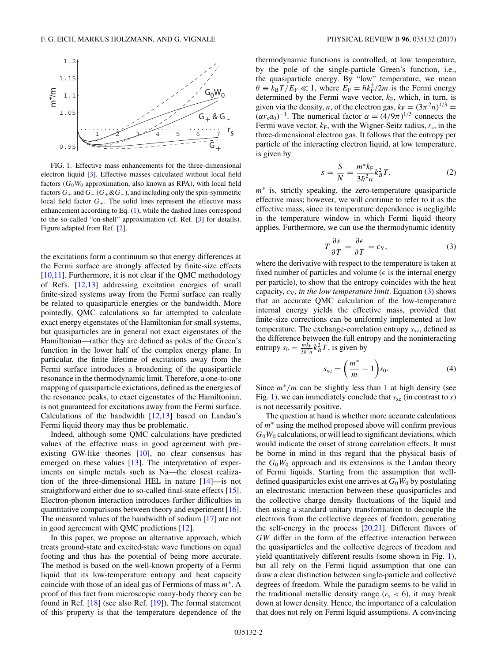<span id="page-1-0"></span>

FIG. 1. Effective mass enhancements for the three-dimensional electron liquid [\[3\]](#page-4-0). Effective masses calculated without local field factors (*G*0*W*<sup>0</sup> approximation, also known as RPA), with local field factors  $G_+$  and  $G_-(G_+\&G_-)$ , and including only the spin-symmetric local field factor  $G_{+}$ . The solid lines represent the effective mass enhancement according to Eq. [\(1\)](#page-0-0), while the dashed lines correspond to the so-called "on-shell" approximation (cf. Ref. [\[3\]](#page-4-0) for details). Figure adapted from Ref. [\[2\]](#page-4-0).

the excitations form a continuum so that energy differences at the Fermi surface are strongly affected by finite-size effects  $[10,11]$ . Furthermore, it is not clear if the QMC methodology of Refs. [\[12,13\]](#page-5-0) addressing excitation energies of small finite-sized systems away from the Fermi surface can really be related to quasiparticle energies or the bandwidth. More pointedly, QMC calculations so far attempted to calculate exact energy eigenstates of the Hamiltonian for small systems, but quasiparticles are in general not exact eigenstates of the Hamiltonian—rather they are defined as poles of the Green's function in the lower half of the complex energy plane. In particular, the finite lifetime of excitations away from the Fermi surface introduces a broadening of the quasiparticle resonance in the thermodynamic limit. Therefore, a one-to-one mapping of quasiparticle exictations, defined as the energies of the resonance peaks, to exact eigenstates of the Hamiltonian, is not guaranteed for excitations away from the Fermi surface. Calculations of the bandwidth  $[12,13]$  based on Landau's Fermi liquid theory may thus be problematic.

Indeed, although some QMC calculations have predicted values of the effective mass in good agreement with preexisting GW-like theories [\[10\]](#page-4-0), no clear consensus has emerged on these values [\[13\]](#page-5-0). The interpretation of experiments on simple metals such as Na—the closest realization of the three-dimensional HEL in nature [\[14\]](#page-5-0)—is not straightforward either due to so-called final-state effects [\[15\]](#page-5-0). Electron-phonon interaction introduces further difficulties in quantitative comparisons between theory and experiment [\[16\]](#page-5-0). The measured values of the bandwidth of sodium [\[17\]](#page-5-0) are not in good agreement with QMC predictions [\[12\]](#page-5-0).

In this paper, we propose an alternative approach, which treats ground-state and excited-state wave functions on equal footing and thus has the potential of being more accurate. The method is based on the well-known property of a Fermi liquid that its low-temperature entropy and heat capacity coincide with those of an ideal gas of Fermions of mass *m*∗. A proof of this fact from microscopic many-body theory can be found in Ref. [\[18\]](#page-5-0) (see also Ref. [\[19\]](#page-5-0)). The formal statement of this property is that the temperature dependence of the thermodynamic functions is controlled, at low temperature, by the pole of the single-particle Green's function, i.e., the quasiparticle energy. By "low" temperature, we mean  $\theta \equiv k_B T / E_F \ll 1$ , where  $E_F = \hbar k_F^2 / 2m$  is the Fermi energy determined by the Fermi wave vector,  $k_F$ , which, in turn, is given via the density, *n*, of the electron gas,  $k_F = (3\pi^2 n)^{1/3}$  $(\alpha r_s a_0)^{-1}$ . The numerical factor  $\alpha = (4/9\pi)^{1/3}$  connects the Fermi wave vector,  $k_F$ , with the Wigner-Seitz radius,  $r_s$ , in the three-dimensional electron gas. It follows that the entropy per particle of the interacting electron liquid, at low temperature, is given by

$$
s = \frac{S}{N} = \frac{m^* k_F}{3\hbar^2 n} k_B^2 T.
$$
 (2)

*m*<sup>∗</sup> is, strictly speaking, the zero-temperature quasiparticle effective mass; however, we will continue to refer to it as the effective mass, since its temperature dependence is negligible in the temperature window in which Fermi liquid theory applies. Furthermore, we can use the thermodynamic identity

$$
T\frac{\partial s}{\partial T} = \frac{\partial \epsilon}{\partial T} = c_V,
$$
 (3)

where the derivative with respect to the temperature is taken at fixed number of particles and volume ( $\epsilon$  is the internal energy per particle), to show that the entropy coincides with the heat capacity,  $c_V$ , *in the low temperature limit*. Equation  $(3)$  shows that an accurate QMC calculation of the low-temperature internal energy yields the effective mass, provided that finite-size corrections can be uniformly implemented at low temperature. The exchange-correlation entropy  $s_{\text{xc}}$ , defined as the difference between the full entropy and the noninteracting entropy  $s_0 = \frac{mk_F}{3\hbar^2 n} k_B^2 T$ , is given by

$$
s_{\rm xc} = \left(\frac{m^*}{m} - 1\right) s_0. \tag{4}
$$

Since *m*∗*/m* can be slightly less than 1 at high density (see Fig. 1), we can immediately conclude that  $s_{\text{xc}}$  (in contrast to  $s$ ) is not necessarily positive.

The question at hand is whether more accurate calculations of *m*<sup>∗</sup> using the method proposed above will confirm previous  $G_0W_0$  calculations, or will lead to significant deviations, which would indicate the onset of strong correlation effects. It must be borne in mind in this regard that the physical basis of the  $G_0W_0$  approach and its extensions is the Landau theory of Fermi liquids. Starting from the assumption that welldefined quasiparticles exist one arrives at  $G_0W_0$  by postulating an electrostatic interaction between these quasiparticles and the collective charge density fluctuations of the liquid and then using a standard unitary transformation to decouple the electrons from the collective degrees of freedom, generating the self-energy in the process [\[20,21\]](#page-5-0). Different flavors of *GW* differ in the form of the effective interaction between the quasiparticles and the collective degrees of freedom and yield quantitatively different results (some shown in Fig. 1), but all rely on the Fermi liquid assumption that one can draw a clear distinction between single-particle and collective degrees of freedom. While the paradigm seems to be valid in the traditional metallic density range  $(r_s < 6)$ , it may break down at lower density. Hence, the importance of a calculation that does not rely on Fermi liquid assumptions. A convincing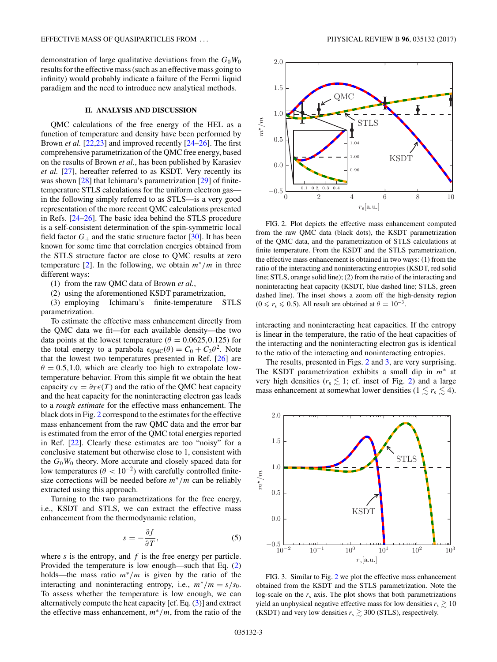<span id="page-2-0"></span>demonstration of large qualitative deviations from the  $G_0W_0$ results for the effective mass (such as an effective mass going to infinity) would probably indicate a failure of the Fermi liquid paradigm and the need to introduce new analytical methods.

## **II. ANALYSIS AND DISCUSSION**

QMC calculations of the free energy of the HEL as a function of temperature and density have been performed by Brown *et al.* [\[22,23\]](#page-5-0) and improved recently [\[24–26\]](#page-5-0). The first comprehensive parametrization of the QMC free energy, based on the results of Brown *et al.*, has been published by Karasiev *et al.* [\[27\]](#page-5-0), hereafter referred to as KSDT. Very recently its was shown [\[28\]](#page-5-0) that Ichimaru's parametrization [\[29\]](#page-5-0) of finitetemperature STLS calculations for the uniform electron gas in the following simply referred to as STLS—is a very good representation of the more recent QMC calculations presented in Refs. [\[24–26\]](#page-5-0). The basic idea behind the STLS procedure is a self-consistent determination of the spin-symmetric local field factor  $G_+$  and the static structure factor [\[30\]](#page-5-0). It has been known for some time that correlation energies obtained from the STLS structure factor are close to QMC results at zero temperature [\[2\]](#page-4-0). In the following, we obtain *m*∗*/m* in three different ways:

(1) from the raw QMC data of Brown *et al.*,

(2) using the aforementioned KSDT parametrization,

(3) employing Ichimaru's finite-temperature STLS parametrization.

To estimate the effective mass enhancement directly from the QMC data we fit—for each available density—the two data points at the lowest temperature ( $\theta = 0.0625, 0.125$ ) for the total energy to a parabola  $\epsilon_{QMC}(\theta) = C_0 + C_2\theta^2$ . Note that the lowest two temperatures presented in Ref. [\[26\]](#page-5-0) are  $\theta = 0.5, 1.0$ , which are clearly too high to extrapolate lowtemperature behavior. From this simple fit we obtain the heat capacity  $c_V = \partial_T \epsilon(T)$  and the ratio of the QMC heat capacity and the heat capacity for the noninteracting electron gas leads to a *rough estimate* for the effective mass enhancement. The black dots in Fig. 2 correspond to the estimates for the effective mass enhancement from the raw QMC data and the error bar is estimated from the error of the QMC total energies reported in Ref. [\[22\]](#page-5-0). Clearly these estimates are too "noisy" for a conclusive statement but otherwise close to 1, consistent with the  $G_0W_0$  theory. More accurate and closely spaced data for low temperatures ( $\theta$  < 10<sup>-2</sup>) with carefully controlled finitesize corrections will be needed before *m*∗*/m* can be reliably extracted using this approach.

Turning to the two parametrizations for the free energy, i.e., KSDT and STLS, we can extract the effective mass enhancement from the thermodynamic relation,

$$
s = -\frac{\partial f}{\partial T},\tag{5}
$$

where *s* is the entropy, and *f* is the free energy per particle. Provided the temperature is low enough—such that Eq. [\(2\)](#page-1-0) holds—the mass ratio *m*∗*/m* is given by the ratio of the interacting and noninteracting entropy, i.e.,  $m^*/m = s/s_0$ . To assess whether the temperature is low enough, we can alternatively compute the heat capacity [cf. Eq. [\(3\)](#page-1-0)] and extract the effective mass enhancement, *m*∗*/m*, from the ratio of the



FIG. 2. Plot depicts the effective mass enhancement computed from the raw QMC data (black dots), the KSDT parametrization of the QMC data, and the parametrization of STLS calculations at finite temperature. From the KSDT and the STLS parametrization, the effective mass enhancement is obtained in two ways: (1) from the ratio of the interacting and noninteracting entropies (KSDT, red solid line; STLS, orange solid line); (2) from the ratio of the interacting and noninteracting heat capacity (KSDT, blue dashed line; STLS, green dashed line). The inset shows a zoom off the high-density region  $(0 \le r_s \le 0.5)$ . All result are obtained at  $\theta = 10^{-3}$ .

interacting and noninteracting heat capacities. If the entropy is linear in the temperature, the ratio of the heat capacities of the interacting and the noninteracting electron gas is identical to the ratio of the interacting and noninteracting entropies.

The results, presented in Figs. 2 and 3, are very surprising. The KSDT parametrization exhibits a small dip in *m*<sup>∗</sup> at very high densities ( $r_s \lesssim 1$ ; cf. inset of Fig. 2) and a large mass enhancement at somewhat lower densities  $(1 \le r_s \le 4)$ .



FIG. 3. Similar to Fig. 2 we plot the effective mass enhancement obtained from the KSDT and the STLS parametrization. Note the log-scale on the  $r<sub>s</sub>$  axis. The plot shows that both parametrizations yield an unphysical negative effective mass for low densities  $r_s \gtrsim 10$ (KSDT) and very low densities  $r_s \gtrsim 300$  (STLS), respectively.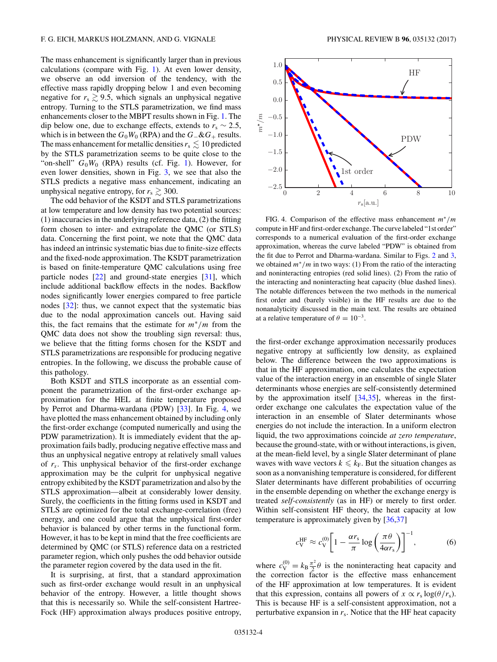<span id="page-3-0"></span>The mass enhancement is significantly larger than in previous calculations (compare with Fig. [1\)](#page-1-0). At even lower density, we observe an odd inversion of the tendency, with the effective mass rapidly dropping below 1 and even becoming negative for  $r_s \geq 9.5$ , which signals an unphysical negative entropy. Turning to the STLS parametrization, we find mass enhancements closer to the MBPT results shown in Fig. [1.](#page-1-0) The dip below one, due to exchange effects, extends to  $r_s \sim 2.5$ , which is in between the  $G_0W_0$  (RPA) and the  $G_-\&G_+$  results. The mass enhancement for metallic densities  $r_s \lesssim 10$  predicted by the STLS parametrization seems to be quite close to the "on-shell"  $G_0W_0$  (RPA) results (cf. Fig. [1\)](#page-1-0). However, for even lower densities, shown in Fig. [3,](#page-2-0) we see that also the STLS predicts a negative mass enhancement, indicating an unphysical negative entropy, for  $r_s \geq 300$ .

The odd behavior of the KSDT and STLS parametrizations at low temperature and low density has two potential sources: (1) inaccuracies in the underlying reference data, (2) the fitting form chosen to inter- and extrapolate the QMC (or STLS) data. Concerning the first point, we note that the QMC data has indeed an intrinsic systematic bias due to finite-size effects and the fixed-node approximation. The KSDT parametrization is based on finite-temperature QMC calculations using free particle nodes [\[22\]](#page-5-0) and ground-state energies [\[31\]](#page-5-0), which include additional backflow effects in the nodes. Backflow nodes significantly lower energies compared to free particle nodes [\[32\]](#page-5-0): thus, we cannot expect that the systematic bias due to the nodal approximation cancels out. Having said this, the fact remains that the estimate for *m*∗*/m* from the QMC data does not show the troubling sign reversal: thus, we believe that the fitting forms chosen for the KSDT and STLS parametrizations are responsible for producing negative entropies. In the following, we discuss the probable cause of this pathology.

Both KSDT and STLS incorporate as an essential component the parametrization of the first-order exchange approximation for the HEL at finite temperature proposed by Perrot and Dharma-wardana (PDW) [\[33\]](#page-5-0). In Fig. 4, we have plotted the mass enhancement obtained by including only the first-order exchange (computed numerically and using the PDW parametrization). It is immediately evident that the approximation fails badly, producing negative effective mass and thus an unphysical negative entropy at relatively small values of *rs*. This unphysical behavior of the first-order exchange approximation may be the culprit for unphysical negative entropy exhibited by the KSDT parametrization and also by the STLS approximation—albeit at considerably lower density. Surely, the coefficients in the fitting forms used in KSDT and STLS are optimized for the total exchange-correlation (free) energy, and one could argue that the unphysical first-order behavior is balanced by other terms in the functional form. However, it has to be kept in mind that the free coefficients are determined by QMC (or STLS) reference data on a restricted parameter region, which only pushes the odd behavior outside the parameter region covered by the data used in the fit.

It is surprising, at first, that a standard approximation such as first-order exchange would result in an unphysical behavior of the entropy. However, a little thought shows that this is necessarily so. While the self-consistent Hartree-Fock (HF) approximation always produces positive entropy,



FIG. 4. Comparison of the effective mass enhancement *m*∗*/m* compute in HF and first-order exchange. The curve labeled "1st order" corresponds to a numerical evaluation of the first-order exchange approximation, whereas the curve labeled "PDW" is obtained from the fit due to Perrot and Dharma-wardana. Similar to Figs. [2](#page-2-0) and [3,](#page-2-0) we obtained *m*∗*/m* in two ways: (1) From the ratio of the interacting and noninteracting entropies (red solid lines). (2) From the ratio of the interacting and noninteracting heat capacity (blue dashed lines). The notable differences between the two methods in the numerical first order and (barely visible) in the HF results are due to the nonanalyticity discussed in the main text. The results are obtained at a relative temperature of  $\theta = 10^{-3}$ .

the first-order exchange approximation necessarily produces negative entropy at sufficiently low density, as explained below. The difference between the two approximations is that in the HF approximation, one calculates the expectation value of the interaction energy in an ensemble of single Slater determinants whose energies are self-consistently determined by the approximation itself [\[34,35\]](#page-5-0), whereas in the firstorder exchange one calculates the expectation value of the interaction in an ensemble of Slater determinants whose energies do not include the interaction. In a uniform electron liquid, the two approximations coincide *at zero temperature*, because the ground-state, with or without interactions, is given, at the mean-field level, by a single Slater determinant of plane waves with wave vectors  $k \leq k_F$ . But the situation changes as soon as a nonvanishing temperature is considered, for different Slater determinants have different probabilities of occurring in the ensemble depending on whether the exchange energy is treated *self-consistently* (as in HF) or merely to first order. Within self-consistent HF theory, the heat capacity at low temperature is approximately given by [\[36,37\]](#page-5-0)

$$
c_{\rm V}^{\rm HF} \approx c_{\rm V}^{(0)} \bigg[ 1 - \frac{\alpha r_{\rm s}}{\pi} \log \bigg( \frac{\pi \theta}{4\alpha r_{\rm s}} \bigg) \bigg]^{-1},\tag{6}
$$

where  $c_V^{(0)} = k_B \frac{\pi^2}{2} \theta$  is the noninteracting heat capacity and the correction factor is the effective mass enhancement of the HF approximation at low temperatures. It is evident that this expression, contains all powers of  $x \propto r_s \log(\theta/r_s)$ . This is because HF is a self-consistent approximation, not a perturbative expansion in *r*s. Notice that the HF heat capacity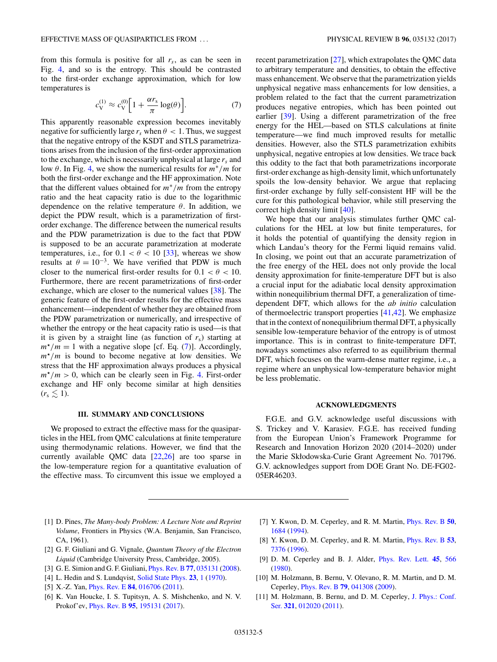<span id="page-4-0"></span>from this formula is positive for all *rs*, as can be seen in Fig. [4,](#page-3-0) and so is the entropy. This should be contrasted to the first-order exchange approximation, which for low temperatures is

$$
c_{\rm V}^{(1)} \approx c_{\rm V}^{(0)} \left[ 1 + \frac{\alpha r_{\rm s}}{\pi} \log(\theta) \right]. \tag{7}
$$

This apparently reasonable expression becomes inevitably negative for sufficiently large  $r_s$  when  $\theta$  < 1. Thus, we suggest that the negative entropy of the KSDT and STLS parametrizations arises from the inclusion of the first-order approximation to the exchange, which is necessarily unphysical at large *rs* and low *θ*. In Fig. [4,](#page-3-0) we show the numerical results for *m*∗*/m* for both the first-order exchange and the HF approximation. Note that the different values obtained for  $m^*/m$  from the entropy ratio and the heat capacity ratio is due to the logarithmic dependence on the relative temperature *θ*. In addition, we depict the PDW result, which is a parametrization of firstorder exchange. The difference between the numerical results and the PDW parametrization is due to the fact that PDW is supposed to be an accurate parametrization at moderate temperatures, i.e., for  $0.1 < \theta < 10$  [\[33\]](#page-5-0), whereas we show results at  $\theta = 10^{-3}$ . We have verified that PDW is much closer to the numerical first-order results for  $0.1 < \theta < 10$ . Furthermore, there are recent parametrizations of first-order exchange, which are closer to the numerical values [\[38\]](#page-5-0). The generic feature of the first-order results for the effective mass enhancement—independent of whether they are obtained from the PDW parametrization or numerically, and irrespective of whether the entropy or the heat capacity ratio is used—is that it is given by a straight line (as function of  $r<sub>s</sub>$ ) starting at  $m^*/m = 1$  with a negative slope [cf. Eq. (7)]. Accordingly,  $m^*/m$  is bound to become negative at low densities. We stress that the HF approximation always produces a physical  $m^*/m > 0$ , which can be clearly seen in Fig. [4.](#page-3-0) First-order exchange and HF only become similar at high densities  $(r_{\rm s} \leq 1)$ .

### **III. SUMMARY AND CONCLUSIONS**

We proposed to extract the effective mass for the quasiparticles in the HEL from QMC calculations at finite temperature using thermodynamic relations. However, we find that the currently available QMC data [\[22,26\]](#page-5-0) are too sparse in the low-temperature region for a quantitative evaluation of the effective mass. To circumvent this issue we employed a recent parametrization [\[27\]](#page-5-0), which extrapolates the QMC data to arbitrary temperature and densities, to obtain the effective mass enhancement. We observe that the parametrization yields unphysical negative mass enhancements for low densities, a problem related to the fact that the current parametrization produces negative entropies, which has been pointed out earlier [\[39\]](#page-5-0). Using a different parametrization of the free energy for the HEL—based on STLS calculations at finite temperature—we find much improved results for metallic densities. However, also the STLS parametrization exhibits unphysical, negative entropies at low densities. We trace back this oddity to the fact that both parametrizations incorporate first-order exchange as high-density limit, which unfortunately spoils the low-density behavior. We argue that replacing first-order exchange by fully self-consistent HF will be the cure for this pathological behavior, while still preserving the correct high density limit [\[40\]](#page-5-0).

We hope that our analysis stimulates further QMC calculations for the HEL at low but finite temperatures, for it holds the potential of quantifying the density region in which Landau's theory for the Fermi liquid remains valid. In closing, we point out that an accurate parametrization of the free energy of the HEL does not only provide the local density approximation for finite-temperature DFT but is also a crucial input for the adiabatic local density approximation within nonequilibrium thermal DFT, a generalization of timedependent DFT, which allows for the *ab initio* calculation of thermoelectric transport properties [\[41,42\]](#page-5-0). We emphasize that in the context of nonequilibrium thermal DFT, a physically sensible low-temperature behavior of the entropy is of utmost importance. This is in contrast to finite-temperature DFT, nowadays sometimes also referred to as equilibrium thermal DFT, which focuses on the warm-dense matter regime, i.e., a regime where an unphysical low-temperature behavior might be less problematic.

#### **ACKNOWLEDGMENTS**

F.G.E. and G.V. acknowledge useful discussions with S. Trickey and V. Karasiev. F.G.E. has received funding from the European Union's Framework Programme for Research and Innovation Horizon 2020 (2014–2020) under the Marie Skłodowska-Curie Grant Agreement No. 701796. G.V. acknowledges support from DOE Grant No. DE-FG02- 05ER46203.

- [1] D. Pines, *The Many-body Problem: A Lecture Note and Reprint Volume*, Frontiers in Physics (W.A. Benjamin, San Francisco, CA, 1961).
- [2] G. F. Giuliani and G. Vignale, *Quantum Theory of the Electron Liquid* (Cambridge University Press, Cambridge, 2005).
- [3] G. E. Simion and G. F. Giuliani, [Phys. Rev. B](https://doi.org/10.1103/PhysRevB.77.035131) **[77](https://doi.org/10.1103/PhysRevB.77.035131)**, [035131](https://doi.org/10.1103/PhysRevB.77.035131) [\(2008\)](https://doi.org/10.1103/PhysRevB.77.035131).
- [4] L. Hedin and S. Lundqvist, [Solid State Phys.](https://doi.org/10.1016/S0081-1947(08)60615-3) **[23](https://doi.org/10.1016/S0081-1947(08)60615-3)**, [1](https://doi.org/10.1016/S0081-1947(08)60615-3) [\(1970\)](https://doi.org/10.1016/S0081-1947(08)60615-3).
- [5] X.-Z. Yan, [Phys. Rev. E](https://doi.org/10.1103/PhysRevE.84.016706) **[84](https://doi.org/10.1103/PhysRevE.84.016706)**, [016706](https://doi.org/10.1103/PhysRevE.84.016706) [\(2011\)](https://doi.org/10.1103/PhysRevE.84.016706).
- [6] K. Van Houcke, I. S. Tupitsyn, A. S. Mishchenko, and N. V. Prokof'ev, [Phys. Rev. B](https://doi.org/10.1103/PhysRevB.95.195131) **[95](https://doi.org/10.1103/PhysRevB.95.195131)**, [195131](https://doi.org/10.1103/PhysRevB.95.195131) [\(2017\)](https://doi.org/10.1103/PhysRevB.95.195131).
- [7] Y. Kwon, D. M. Ceperley, and R. M. Martin, [Phys. Rev. B](https://doi.org/10.1103/PhysRevB.50.1684) **[50](https://doi.org/10.1103/PhysRevB.50.1684)**, [1684](https://doi.org/10.1103/PhysRevB.50.1684) [\(1994\)](https://doi.org/10.1103/PhysRevB.50.1684).
- [8] Y. Kwon, D. M. Ceperley, and R. M. Martin, [Phys. Rev. B](https://doi.org/10.1103/PhysRevB.53.7376) **[53](https://doi.org/10.1103/PhysRevB.53.7376)**, [7376](https://doi.org/10.1103/PhysRevB.53.7376) [\(1996\)](https://doi.org/10.1103/PhysRevB.53.7376).
- [9] D. M. Ceperley and B. J. Alder, [Phys. Rev. Lett.](https://doi.org/10.1103/PhysRevLett.45.566) **[45](https://doi.org/10.1103/PhysRevLett.45.566)**, [566](https://doi.org/10.1103/PhysRevLett.45.566) [\(1980\)](https://doi.org/10.1103/PhysRevLett.45.566).
- [10] M. Holzmann, B. Bernu, V. Olevano, R. M. Martin, and D. M. Ceperley, [Phys. Rev. B](https://doi.org/10.1103/PhysRevB.79.041308) **[79](https://doi.org/10.1103/PhysRevB.79.041308)**, [041308](https://doi.org/10.1103/PhysRevB.79.041308) [\(2009\)](https://doi.org/10.1103/PhysRevB.79.041308).
- [11] [M. Holzmann, B. Bernu, and D. M. Ceperley,](https://doi.org/10.1088/1742-6596/321/1/012020) J. Phys.: Conf. Ser. **[321](https://doi.org/10.1088/1742-6596/321/1/012020)**, [012020](https://doi.org/10.1088/1742-6596/321/1/012020) [\(2011\)](https://doi.org/10.1088/1742-6596/321/1/012020).